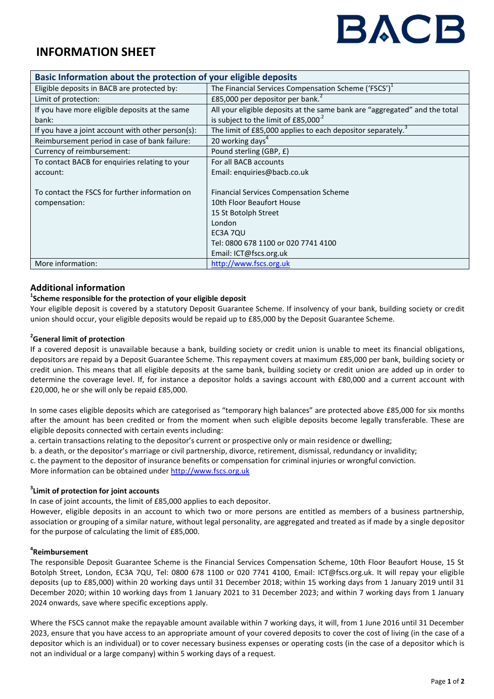# BACB

## **INFORMATION SHEET**

| Basic Information about the protection of your eligible deposits |                                                                            |
|------------------------------------------------------------------|----------------------------------------------------------------------------|
| Eligible deposits in BACB are protected by:                      | The Financial Services Compensation Scheme ('FSCS') <sup>1</sup>           |
| Limit of protection:                                             | £85,000 per depositor per bank. <sup>2</sup>                               |
| If you have more eligible deposits at the same                   | All your eligible deposits at the same bank are "aggregated" and the total |
| bank:                                                            | is subject to the limit of £85,000 <sup>-2</sup>                           |
| If you have a joint account with other person(s):                | The limit of £85,000 applies to each depositor separately. <sup>3</sup>    |
| Reimbursement period in case of bank failure:                    | 20 working days <sup>4</sup>                                               |
| Currency of reimbursement:                                       | Pound sterling (GBP, £)                                                    |
| To contact BACB for enquiries relating to your                   | For all BACB accounts                                                      |
| account:                                                         | Email: enquiries@bacb.co.uk                                                |
|                                                                  |                                                                            |
| To contact the FSCS for further information on                   | <b>Financial Services Compensation Scheme</b>                              |
| compensation:                                                    | 10th Floor Beaufort House                                                  |
|                                                                  | 15 St Botolph Street                                                       |
|                                                                  | London                                                                     |
|                                                                  | EC3A 7QU                                                                   |
|                                                                  | Tel: 0800 678 1100 or 020 7741 4100                                        |
|                                                                  | Email: ICT@fscs.org.uk                                                     |
| More information:                                                | http://www.fscs.org.uk                                                     |

#### **Additional information**

#### **1 Scheme responsible for the protection of your eligible deposit**

Your eligible deposit is covered by a statutory Deposit Guarantee Scheme. If insolvency of your bank, building society or credit union should occur, your eligible deposits would be repaid up to £85,000 by the Deposit Guarantee Scheme.

#### **2 General limit of protection**

If a covered deposit is unavailable because a bank, building society or credit union is unable to meet its financial obligations, depositors are repaid by a Deposit Guarantee Scheme. This repayment covers at maximum £85,000 per bank, building society or credit union. This means that all eligible deposits at the same bank, building society or credit union are added up in order to determine the coverage level. If, for instance a depositor holds a savings account with £80,000 and a current account with £20,000, he or she will only be repaid £85,000.

In some cases eligible deposits which are categorised as "temporary high balances" are protected above £85,000 for six months after the amount has been credited or from the moment when such eligible deposits become legally transferable. These are eligible deposits connected with certain events including:

a. certain transactions relating to the depositor's current or prospective only or main residence or dwelling;

b. a death, or the depositor's marriage or civil partnership, divorce, retirement, dismissal, redundancy or invalidity;

c. the payment to the depositor of insurance benefits or compensation for criminal injuries or wrongful conviction.

More information can be obtained under [http://www.fscs.org.uk](http://www.fscs.org.uk/)

#### **3 Limit of protection for joint accounts**

In case of joint accounts, the limit of £85,000 applies to each depositor.

However, eligible deposits in an account to which two or more persons are entitled as members of a business partnership, association or grouping of a similar nature, without legal personality, are aggregated and treated as if made by a single depositor for the purpose of calculating the limit of £85,000.

#### **4 Reimbursement**

The responsible Deposit Guarantee Scheme is the Financial Services Compensation Scheme, 10th Floor Beaufort House, 15 St Botolph Street, London, EC3A 7QU, Tel: 0800 678 1100 or 020 7741 4100, Email: ICT@fscs.org.uk. It will repay your eligible deposits (up to £85,000) within 20 working days until 31 December 2018; within 15 working days from 1 January 2019 until 31 December 2020; within 10 working days from 1 January 2021 to 31 December 2023; and within 7 working days from 1 January 2024 onwards, save where specific exceptions apply.

Where the FSCS cannot make the repayable amount available within 7 working days, it will, from 1 June 2016 until 31 December 2023, ensure that you have access to an appropriate amount of your covered deposits to cover the cost of living (in the case of a depositor which is an individual) or to cover necessary business expenses or operating costs (in the case of a depositor which is not an individual or a large company) within 5 working days of a request.